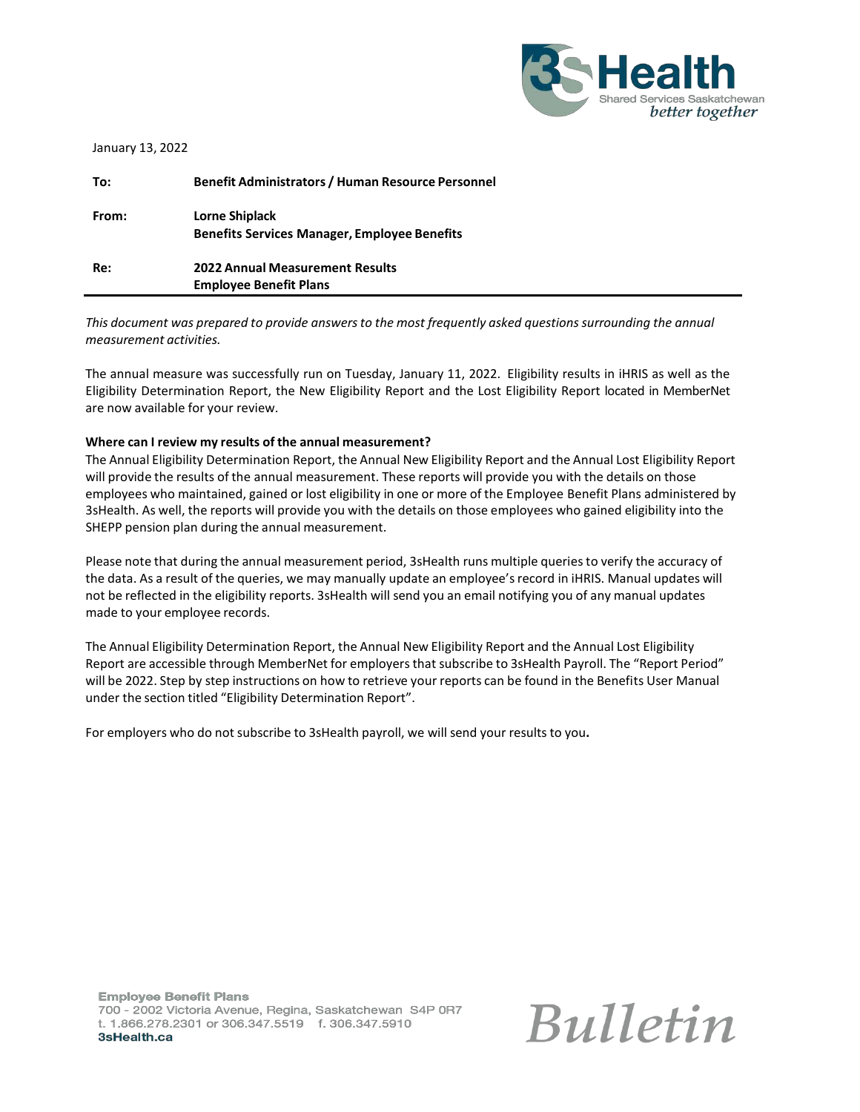

| To:   | <b>Benefit Administrators / Human Resource Personnel</b>                |
|-------|-------------------------------------------------------------------------|
| From: | Lorne Shiplack<br><b>Benefits Services Manager, Employee Benefits</b>   |
| Re:   | <b>2022 Annual Measurement Results</b><br><b>Employee Benefit Plans</b> |

*This document was prepared to provide answersto the most frequently asked questionssurrounding the annual measurement activities.*

The annual measure was successfully run on Tuesday, January 11, 2022. Eligibility results in iHRIS as well as the Eligibility Determination Report, the New Eligibility Report and the Lost Eligibility Report located in MemberNet are now available for your review.

### **Where can I review my results of the annual measurement?**

The Annual Eligibility Determination Report, the Annual New Eligibility Report and the Annual Lost Eligibility Report will provide the results of the annual measurement. These reports will provide you with the details on those employees who maintained, gained or lost eligibility in one or more of the Employee Benefit Plans administered by 3sHealth. As well, the reports will provide you with the details on those employees who gained eligibility into the SHEPP pension plan during the annual measurement.

Please note that during the annual measurement period, 3sHealth runs multiple queries to verify the accuracy of the data. As a result of the queries, we may manually update an employee's record in iHRIS. Manual updates will not be reflected in the eligibility reports. 3sHealth will send you an email notifying you of any manual updates made to your employee records.

The Annual Eligibility Determination Report, the Annual New Eligibility Report and the Annual Lost Eligibility Report are accessible through MemberNet for employers that subscribe to 3sHealth Payroll. The "Report Period" will be 2022. Step by step instructions on how to retrieve your reports can be found in the Benefits User Manual under the section titled "Eligibility Determination Report".

For employers who do not subscribe to 3sHealth payroll, we will send your results to you**.**

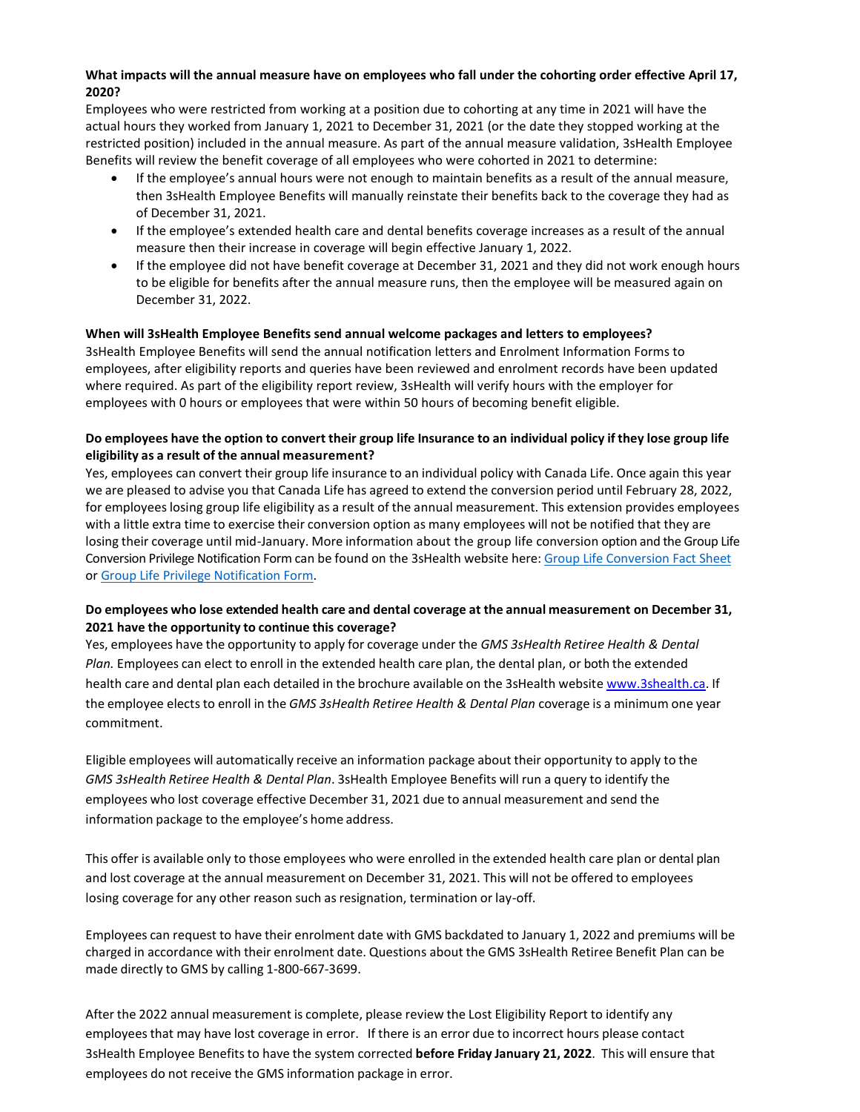# **What impacts will the annual measure have on employees who fall under the cohorting order effective April 17, 2020?**

Employees who were restricted from working at a position due to cohorting at any time in 2021 will have the actual hours they worked from January 1, 2021 to December 31, 2021 (or the date they stopped working at the restricted position) included in the annual measure. As part of the annual measure validation, 3sHealth Employee Benefits will review the benefit coverage of all employees who were cohorted in 2021 to determine:

- If the employee's annual hours were not enough to maintain benefits as a result of the annual measure, then 3sHealth Employee Benefits will manually reinstate their benefits back to the coverage they had as of December 31, 2021.
- If the employee's extended health care and dental benefits coverage increases as a result of the annual measure then their increase in coverage will begin effective January 1, 2022.
- If the employee did not have benefit coverage at December 31, 2021 and they did not work enough hours to be eligible for benefits after the annual measure runs, then the employee will be measured again on December 31, 2022.

## **When will 3sHealth Employee Benefits send annual welcome packages and letters to employees?**

3sHealth Employee Benefits will send the annual notification letters and Enrolment Information Forms to employees, after eligibility reports and queries have been reviewed and enrolment records have been updated where required. As part of the eligibility report review, 3sHealth will verify hours with the employer for employees with 0 hours or employees that were within 50 hours of becoming benefit eligible.

## Do employees have the option to convert their group life Insurance to an individual policy if they lose group life **eligibility as a result of the annual measurement?**

Yes, employees can convert their group life insurance to an individual policy with Canada Life. Once again this year we are pleased to advise you that Canada Life has agreed to extend the conversion period until February 28, 2022, for employeeslosing group life eligibility as a result of the annual measurement. This extension provides employees with a little extra time to exercise their conversion option as many employees will not be notified that they are losing their coverage until mid-January. More information about the group life conversion option and the Group Life Conversion Privilege Notification Form can be found on the 3sHealth website here[: Group Life Conversion Fact Sheet](https://www.3shealth.ca/pdfs/ebp-docs/group-life-conversion-member-fact-sheet-202010610.pdf) or [Group Life Privilege Notification Form.](https://www.3shealth.ca/pdfs/ebp-docs/Group-Life-Conversion-Priveledge-Notification-(M5725)-20210823.pdf)

## **Do employees who lose extended health care and dental coverage at the annual measurement on December 31, 2021 have the opportunity to continue this coverage?**

Yes, employees have the opportunity to apply for coverage under the *GMS 3sHealth Retiree Health & Dental Plan.* Employees can elect to enroll in the extended health care plan, the dental plan, or both the extended health care and dental plan each detailed in the brochure available on the 3sHealth website [www.3shealth.ca.](http://www.3shealth.ca/) If the employee electsto enroll in the *GMS 3sHealth Retiree Health & Dental Plan* coverage is a minimum one year commitment.

Eligible employees will automatically receive an information package about their opportunity to apply to the *GMS 3sHealth Retiree Health & Dental Plan*. 3sHealth Employee Benefits will run a query to identify the employees who lost coverage effective December 31, 2021 due to annual measurement and send the information package to the employee's home address.

This offer is available only to those employees who were enrolled in the extended health care plan or dental plan and lost coverage at the annual measurement on December 31, 2021. This will not be offered to employees losing coverage for any other reason such as resignation, termination or lay-off.

Employees can request to have their enrolment date with GMS backdated to January 1, 2022 and premiums will be charged in accordance with their enrolment date. Questions about the GMS 3sHealth Retiree Benefit Plan can be made directly to GMS by calling 1-800-667-3699.

After the 2022 annual measurement is complete, please review the Lost Eligibility Report to identify any employeesthat may have lost coverage in error. If there is an error due to incorrect hours please contact 3sHealth Employee Benefitsto have the system corrected **before Friday January 21, 2022**. This will ensure that employees do not receive the GMS information package in error.